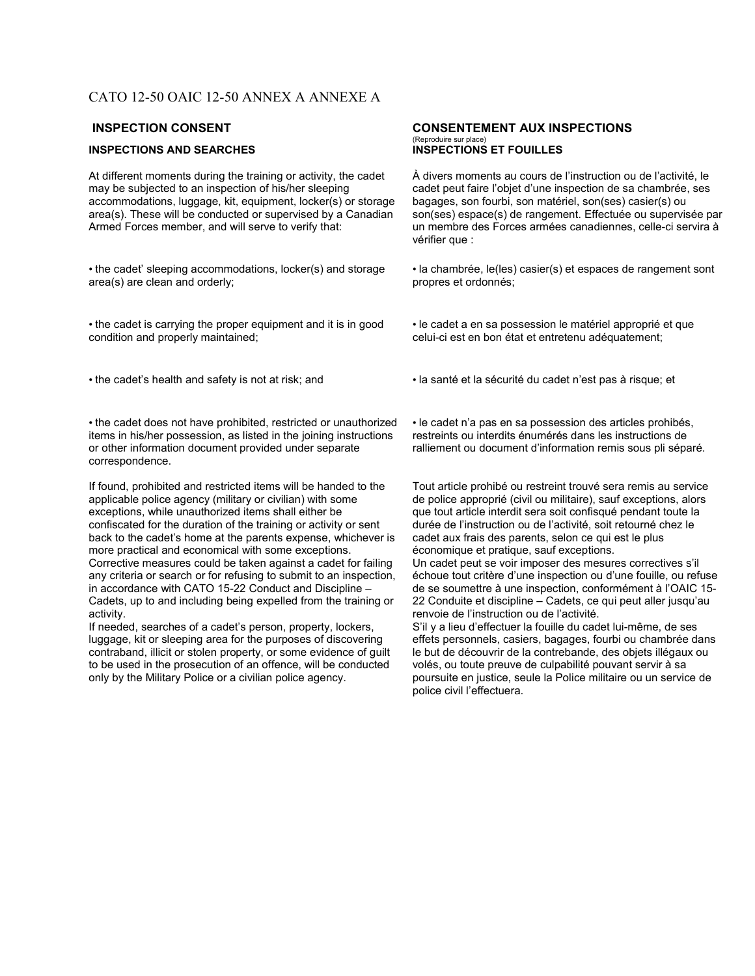# CATO 12-50 OAIC 12-50 ANNEX A ANNEXE A

### **INSPECTIONS AND SEARCHES**

At different moments during the training or activity, the cadet may be subjected to an inspection of his/her sleeping accommodations, luggage, kit, equipment, locker(s) or storage area(s). These will be conducted or supervised by a Canadian Armed Forces member, and will serve to verify that:

• the cadet' sleeping accommodations, locker(s) and storage area(s) are clean and orderly;

• the cadet is carrying the proper equipment and it is in good condition and properly maintained;

• the cadet does not have prohibited, restricted or unauthorized items in his/her possession, as listed in the joining instructions or other information document provided under separate correspondence.

If found, prohibited and restricted items will be handed to the applicable police agency (military or civilian) with some exceptions, while unauthorized items shall either be confiscated for the duration of the training or activity or sent back to the cadet's home at the parents expense, whichever is more practical and economical with some exceptions. Corrective measures could be taken against a cadet for failing any criteria or search or for refusing to submit to an inspection, in accordance with CATO 15-22 Conduct and Discipline – Cadets, up to and including being expelled from the training or activity.

If needed, searches of a cadet's person, property, lockers, luggage, kit or sleeping area for the purposes of discovering contraband, illicit or stolen property, or some evidence of guilt to be used in the prosecution of an offence, will be conducted only by the Military Police or a civilian police agency.

# INSPECTION CONSENT CONSENTEMENT AUX INSPECTIONS (Reproduire sur place)<br>INSPECTIONS ET FOUILLES

À divers moments au cours de l'instruction ou de l'activité, le cadet peut faire l'objet d'une inspection de sa chambrée, ses bagages, son fourbi, son matériel, son(ses) casier(s) ou son(ses) espace(s) de rangement. Effectuée ou supervisée par un membre des Forces armées canadiennes, celle-ci servira à vérifier que :

• la chambrée, le(les) casier(s) et espaces de rangement sont propres et ordonnés;

• le cadet a en sa possession le matériel approprié et que celui-ci est en bon état et entretenu adéquatement;

• the cadet's health and safety is not at risk; and • la santé et la sécurité du cadet n'est pas à risque; et

• le cadet n'a pas en sa possession des articles prohibés, restreints ou interdits énumérés dans les instructions de ralliement ou document d'information remis sous pli séparé.

Tout article prohibé ou restreint trouvé sera remis au service de police approprié (civil ou militaire), sauf exceptions, alors que tout article interdit sera soit confisqué pendant toute la durée de l'instruction ou de l'activité, soit retourné chez le cadet aux frais des parents, selon ce qui est le plus économique et pratique, sauf exceptions.

Un cadet peut se voir imposer des mesures correctives s'il échoue tout critère d'une inspection ou d'une fouille, ou refuse de se soumettre à une inspection, conformément à l'OAIC 15- 22 Conduite et discipline – Cadets, ce qui peut aller jusqu'au renvoie de l'instruction ou de l'activité.

S'il y a lieu d'effectuer la fouille du cadet lui-même, de ses effets personnels, casiers, bagages, fourbi ou chambrée dans le but de découvrir de la contrebande, des objets illégaux ou volés, ou toute preuve de culpabilité pouvant servir à sa poursuite en justice, seule la Police militaire ou un service de police civil l'effectuera.